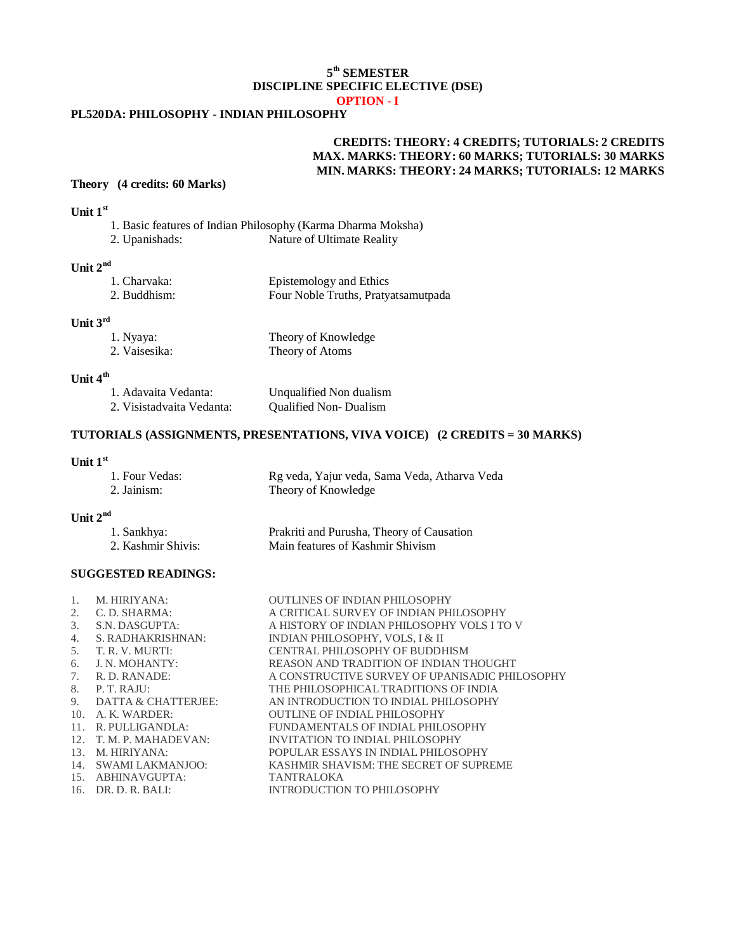### **5 th SEMESTER DISCIPLINE SPECIFIC ELECTIVE (DSE) OPTION - I**

# **PL520DA: PHILOSOPHY - INDIAN PHILOSOPHY**

# **CREDITS: THEORY: 4 CREDITS; TUTORIALS: 2 CREDITS MAX. MARKS: THEORY: 60 MARKS; TUTORIALS: 30 MARKS MIN. MARKS: THEORY: 24 MARKS; TUTORIALS: 12 MARKS**

### **Theory (4 credits: 60 Marks)**

# **Unit 1st**

|                | 1. Basic features of Indian Philosophy (Karma Dharma Moksha) |
|----------------|--------------------------------------------------------------|
| 2. Upanishads: | Nature of Ultimate Reality                                   |

### **Unit 2nd**

| 1. Charvaka: | Epistemology and Ethics             |
|--------------|-------------------------------------|
| 2. Buddhism: | Four Noble Truths, Pratyatsamutpada |

### **Unit 3rd**

| 1. Nyaya:     | Theory of Knowledge |
|---------------|---------------------|
| 2. Vaisesika: | Theory of Atoms     |

# **Unit 4th**

| 1. Adavaita Vedanta:      | Unqualified Non dualism      |
|---------------------------|------------------------------|
| 2. Visistadvaita Vedanta: | <b>Qualified Non-Dualism</b> |

### **TUTORIALS (ASSIGNMENTS, PRESENTATIONS, VIVA VOICE) (2 CREDITS = 30 MARKS)**

#### **Unit 1st**

| 1. Four Vedas: | Rg veda, Yajur veda, Sama Veda, Atharva Veda |
|----------------|----------------------------------------------|
| 2. Jainism:    | Theory of Knowledge                          |

#### **Unit 2nd**

| 1. Sankhya:        | Prakriti and Purusha, Theory of Causation |
|--------------------|-------------------------------------------|
| 2. Kashmir Shivis: | Main features of Kashmir Shivism          |

#### **SUGGESTED READINGS:**

| 1. | M. HIRIYANA:            | <b>OUTLINES OF INDIAN PHILOSOPHY</b>           |
|----|-------------------------|------------------------------------------------|
| 2. | C. D. SHARMA:           | A CRITICAL SURVEY OF INDIAN PHILOSOPHY         |
| 3. | S.N. DASGUPTA:          | A HISTORY OF INDIAN PHILOSOPHY VOLS I TO V     |
| 4. | S. RADHAKRISHNAN:       | INDIAN PHILOSOPHY, VOLS, I & II                |
| 5. | T. R. V. MURTI:         | CENTRAL PHILOSOPHY OF BUDDHISM                 |
| 6. | J. N. MOHANTY:          | REASON AND TRADITION OF INDIAN THOUGHT         |
| 7. | R. D. RANADE:           | A CONSTRUCTIVE SURVEY OF UPANISADIC PHILOSOPHY |
| 8. | P. T. R A J U:          | THE PHILOSOPHICAL TRADITIONS OF INDIA          |
|    | 9. DATTA & CHATTERJEE:  | AN INTRODUCTION TO INDIAL PHILOSOPHY           |
|    | 10. A. K. WARDER:       | OUTLINE OF INDIAL PHILOSOPHY                   |
|    | 11. R. PULLIGANDLA:     | FUNDAMENTALS OF INDIAL PHILOSOPHY              |
|    | 12. T. M. P. MAHADEVAN: | INVITATION TO INDIAL PHILOSOPHY                |
|    | 13. M. HIRIYANA:        | POPULAR ESSAYS IN INDIAL PHILOSOPHY            |
|    | 14. SWAMI LAKMANJOO:    | KASHMIR SHAVISM: THE SECRET OF SUPREME         |
|    | 15. ABHINAVGUPTA:       | <b>TANTRALOKA</b>                              |
|    | $16.$ DR. D. R. BALI:   | INTRODUCTION TO PHILOSOPHY                     |
|    |                         |                                                |